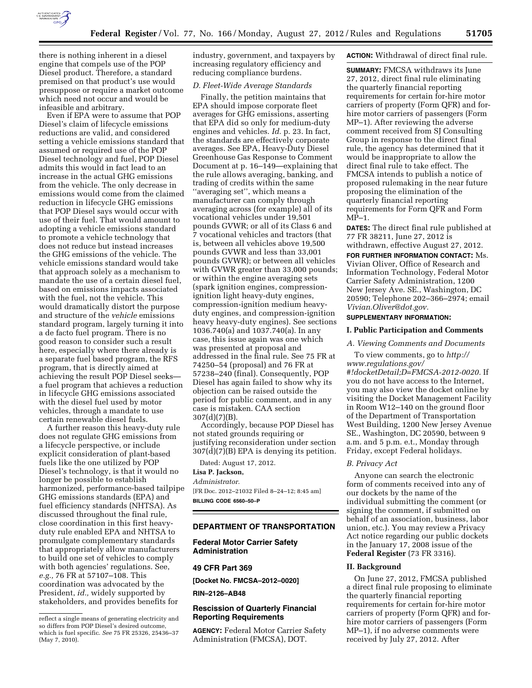

there is nothing inherent in a diesel engine that compels use of the POP Diesel product. Therefore, a standard premised on that product's use would presuppose or require a market outcome which need not occur and would be infeasible and arbitrary.

Even if EPA were to assume that POP Diesel's claim of lifecycle emissions reductions are valid, and considered setting a vehicle emissions standard that assumed or required use of the POP Diesel technology and fuel, POP Diesel admits this would in fact lead to an increase in the actual GHG emissions from the vehicle. The only decrease in emissions would come from the claimed reduction in lifecycle GHG emissions that POP Diesel says would occur with use of their fuel. That would amount to adopting a vehicle emissions standard to promote a vehicle technology that does not reduce but instead increases the GHG emissions of the vehicle. The vehicle emissions standard would take that approach solely as a mechanism to mandate the use of a certain diesel fuel, based on emissions impacts associated with the fuel, not the vehicle. This would dramatically distort the purpose and structure of the *vehicle* emissions standard program, largely turning it into a de facto fuel program. There is no good reason to consider such a result here, especially where there already is a separate fuel based program, the RFS program, that is directly aimed at achieving the result POP Diesel seeks a fuel program that achieves a reduction in lifecycle GHG emissions associated with the diesel fuel used by motor vehicles, through a mandate to use certain renewable diesel fuels.

A further reason this heavy-duty rule does not regulate GHG emissions from a lifecycle perspective, or include explicit consideration of plant-based fuels like the one utilized by POP Diesel's technology, is that it would no longer be possible to establish harmonized, performance-based tailpipe GHG emissions standards (EPA) and fuel efficiency standards (NHTSA). As discussed throughout the final rule, close coordination in this first heavyduty rule enabled EPA and NHTSA to promulgate complementary standards that appropriately allow manufacturers to build one set of vehicles to comply with both agencies' regulations. See, *e.g.,* 76 FR at 57107–108. This coordination was advocated by the President, *id.,* widely supported by stakeholders, and provides benefits for

industry, government, and taxpayers by increasing regulatory efficiency and reducing compliance burdens.

# *D. Fleet-Wide Average Standards*

Finally, the petition maintains that EPA should impose corporate fleet averages for GHG emissions, asserting that EPA did so only for medium-duty engines and vehicles. *Id.* p. 23. In fact, the standards are effectively corporate averages. See EPA, Heavy-Duty Diesel Greenhouse Gas Response to Comment Document at p. 16–149—explaining that the rule allows averaging, banking, and trading of credits within the same ''averaging set'', which means a manufacturer can comply through averaging across (for example) all of its vocational vehicles under 19,501 pounds GVWR; or all of its Class 6 and 7 vocational vehicles and tractors (that is, between all vehicles above 19,500 pounds GVWR and less than 33,001 pounds GVWR); or between all vehicles with GVWR greater than 33,000 pounds; or within the engine averaging sets (spark ignition engines, compressionignition light heavy-duty engines, compression-ignition medium heavyduty engines, and compression-ignition heavy heavy-duty engines). See sections 1036.740(a) and 1037.740(a). In any case, this issue again was one which was presented at proposal and addressed in the final rule. See 75 FR at 74250–54 (proposal) and 76 FR at 57238–240 (final). Consequently, POP Diesel has again failed to show why its objection can be raised outside the period for public comment, and in any case is mistaken. CAA section 307(d)(7)(B).

Accordingly, because POP Diesel has not stated grounds requiring or justifying reconsideration under section 307(d)(7)(B) EPA is denying its petition.

Dated: August 17, 2012.

# **Lisa P. Jackson,**

*Administrator.* 

[FR Doc. 2012–21032 Filed 8–24–12; 8:45 am] **BILLING CODE 6560–50–P** 

#### **DEPARTMENT OF TRANSPORTATION**

**Federal Motor Carrier Safety Administration** 

## **49 CFR Part 369**

**[Docket No. FMCSA–2012–0020]** 

**RIN–2126–AB48** 

## **Rescission of Quarterly Financial Reporting Requirements**

**AGENCY:** Federal Motor Carrier Safety Administration (FMCSA), DOT.

#### **ACTION:** Withdrawal of direct final rule.

**SUMMARY:** FMCSA withdraws its June 27, 2012, direct final rule eliminating the quarterly financial reporting requirements for certain for-hire motor carriers of property (Form QFR) and forhire motor carriers of passengers (Form MP–1). After reviewing the adverse comment received from SJ Consulting Group in response to the direct final rule, the agency has determined that it would be inappropriate to allow the direct final rule to take effect. The FMCSA intends to publish a notice of proposed rulemaking in the near future proposing the elimination of the quarterly financial reporting requirements for Form QFR and Form MP–1.

**DATES:** The direct final rule published at 77 FR 38211, June 27, 2012 is withdrawn, effective August 27, 2012.

**FOR FURTHER INFORMATION CONTACT:** Ms. Vivian Oliver, Office of Research and Information Technology, Federal Motor Carrier Safety Administration, 1200 New Jersey Ave. SE., Washington, DC 20590; Telephone 202–366–2974; email *[Vivian.Oliver@dot.gov.](mailto:Vivian.Oliver@dot.gov)* 

# **SUPPLEMENTARY INFORMATION:**

#### **I. Public Participation and Comments**

### *A. Viewing Comments and Documents*

To view comments, go to *[http://](http://www.regulations.gov/#!docketDetail;D=FMCSA-2012-0020) [www.regulations.gov/](http://www.regulations.gov/#!docketDetail;D=FMCSA-2012-0020) [#!docketDetail;D=FMCSA-2012-0020.](http://www.regulations.gov/#!docketDetail;D=FMCSA-2012-0020)* If you do not have access to the Internet, you may also view the docket online by visiting the Docket Management Facility in Room W12–140 on the ground floor of the Department of Transportation West Building, 1200 New Jersey Avenue SE., Washington, DC 20590, between 9 a.m. and 5 p.m. e.t., Monday through Friday, except Federal holidays.

# *B. Privacy Act*

Anyone can search the electronic form of comments received into any of our dockets by the name of the individual submitting the comment (or signing the comment, if submitted on behalf of an association, business, labor union, etc.). You may review a Privacy Act notice regarding our public dockets in the January 17, 2008 issue of the **Federal Register** (73 FR 3316).

### **II. Background**

On June 27, 2012, FMCSA published a direct final rule proposing to eliminate the quarterly financial reporting requirements for certain for-hire motor carriers of property (Form QFR) and forhire motor carriers of passengers (Form MP–1), if no adverse comments were received by July 27, 2012. After

reflect a single means of generating electricity and so differs from POP Diesel's desired outcome, which is fuel specific. *See* 75 FR 25326, 25436–37 (May 7, 2010).